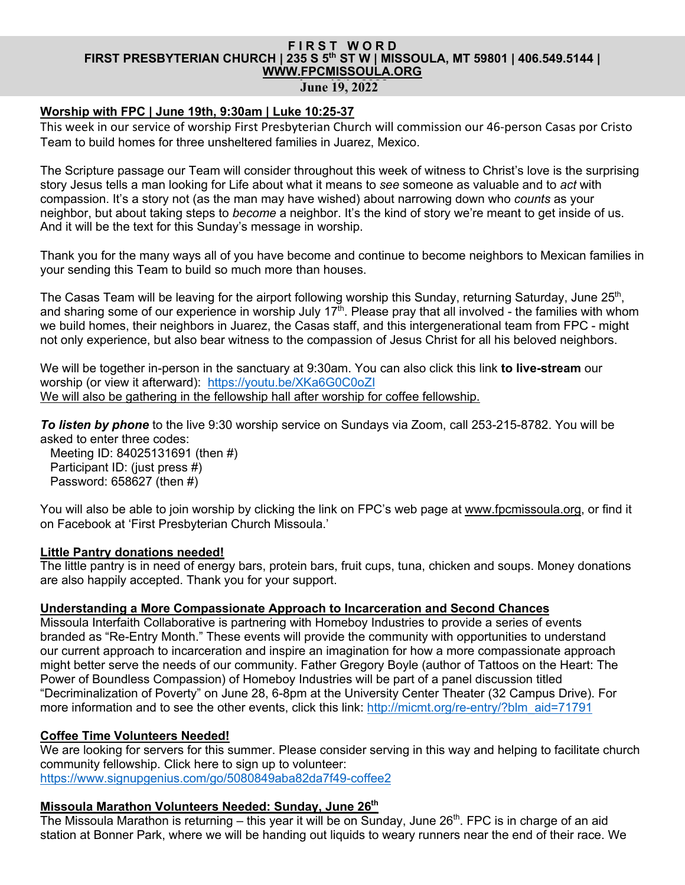# **FIRST WORD FIRST PRESBYTERIAN CHURCH | 235 S 5th ST W | MISSOULA, MT 59801 | 406.549.5144 | WWW.FPCMISSOULA.ORG**

**June 19, 2022** 

### **Worship with FPC | June 19th, 9:30am | Luke 10:25-37**

This week in our service of worship First Presbyterian Church will commission our 46-person Casas por Cristo Team to build homes for three unsheltered families in Juarez, Mexico.

The Scripture passage our Team will consider throughout this week of witness to Christ's love is the surprising story Jesus tells a man looking for Life about what it means to *see* someone as valuable and to *act* with compassion. It's a story not (as the man may have wished) about narrowing down who *counts* as your neighbor, but about taking steps to *become* a neighbor. It's the kind of story we're meant to get inside of us. And it will be the text for this Sunday's message in worship.

Thank you for the many ways all of you have become and continue to become neighbors to Mexican families in your sending this Team to build so much more than houses.

The Casas Team will be leaving for the airport following worship this Sunday, returning Saturday, June 25<sup>th</sup>, and sharing some of our experience in worship July  $17<sup>th</sup>$ . Please pray that all involved - the families with whom we build homes, their neighbors in Juarez, the Casas staff, and this intergenerational team from FPC - might not only experience, but also bear witness to the compassion of Jesus Christ for all his beloved neighbors.

We will be together in-person in the sanctuary at 9:30am. You can also click this link **to live-stream** our worship (or view it afterward): https://youtu.be/XKa6G0C0oZI We will also be gathering in the fellowship hall after worship for coffee fellowship.

*To listen by phone* to the live 9:30 worship service on Sundays via Zoom, call 253-215-8782. You will be asked to enter three codes:

Meeting ID: 84025131691 (then #) Participant ID: (just press #) Password: 658627 (then #)

You will also be able to join worship by clicking the link on FPC's web page at www.fpcmissoula.org, or find it on Facebook at 'First Presbyterian Church Missoula.'

#### **Little Pantry donations needed!**

The little pantry is in need of energy bars, protein bars, fruit cups, tuna, chicken and soups. Money donations are also happily accepted. Thank you for your support.

### **Understanding a More Compassionate Approach to Incarceration and Second Chances**

Missoula Interfaith Collaborative is partnering with Homeboy Industries to provide a series of events branded as "Re-Entry Month." These events will provide the community with opportunities to understand our current approach to incarceration and inspire an imagination for how a more compassionate approach might better serve the needs of our community. Father Gregory Boyle (author of Tattoos on the Heart: The Power of Boundless Compassion) of Homeboy Industries will be part of a panel discussion titled "Decriminalization of Poverty" on June 28, 6-8pm at the University Center Theater (32 Campus Drive). For more information and to see the other events, click this link: http://micmt.org/re-entry/?blm\_aid=71791

#### **Coffee Time Volunteers Needed!**

We are looking for servers for this summer. Please consider serving in this way and helping to facilitate church community fellowship. Click here to sign up to volunteer: https://www.signupgenius.com/go/5080849aba82da7f49-coffee2

#### **Missoula Marathon Volunteers Needed: Sunday, June 26th**

The Missoula Marathon is returning – this year it will be on Sunday, June 26<sup>th</sup>. FPC is in charge of an aid station at Bonner Park, where we will be handing out liquids to weary runners near the end of their race. We